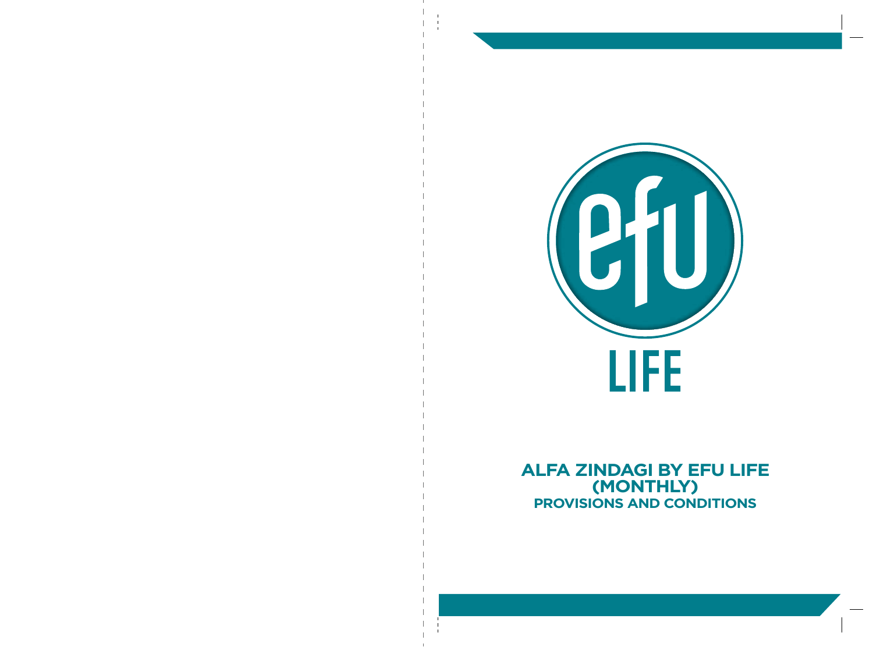

**ALFA ZINDAGI BY EFU LIFE (MONTHLY) PROVISIONS AND CONDITIONS**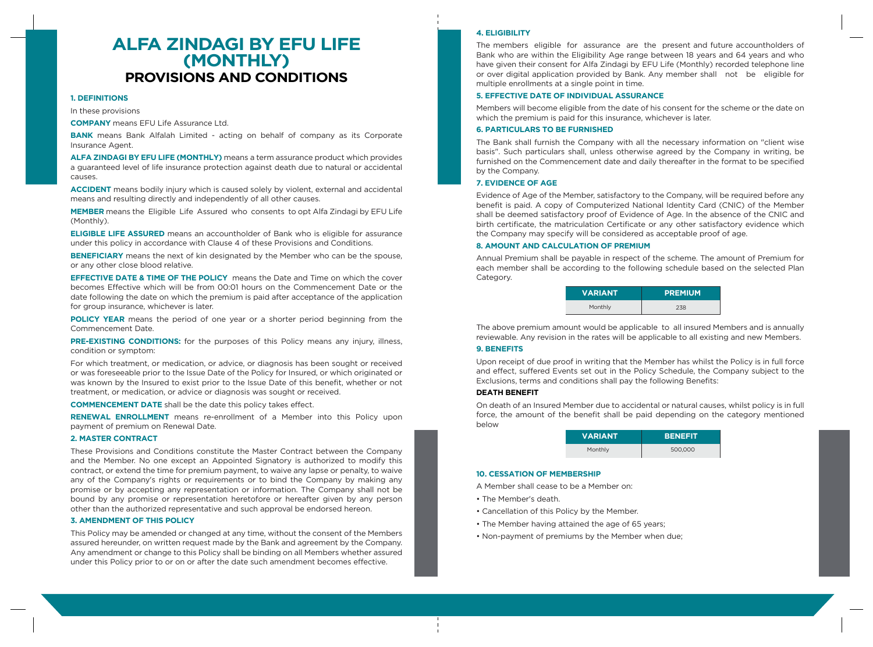# **ALFA ZINDAGI BY EFU LIFE (MONTHLY) PROVISIONS AND CONDITIONS**

## **1. DEFINITIONS**

In these provisions

**COMPANY** means EFU Life Assurance Ltd.

**BANK** means Bank Alfalah Limited - acting on behalf of company as its Corporate Insurance Agent.

**ALFA ZINDAGI BY EFU LIFE (MONTHLY)** means a term assurance product which provides a guaranteed level of life insurance protection against death due to natural or accidental causes.

**ACCIDENT** means bodily injury which is caused solely by violent, external and accidental means and resulting directly and independently of all other causes.

**MEMBER** means the Eligible Life Assured who consents to opt Alfa Zindagi by EFU Life (Monthly).

**ELIGIBLE LIFE ASSURED** means an accountholder of Bank who is eligible for assurance under this policy in accordance with Clause 4 of these Provisions and Conditions.

**BENEFICIARY** means the next of kin designated by the Member who can be the spouse, or any other close blood relative.

**EFFECTIVE DATE & TIME OF THE POLICY** means the Date and Time on which the cover becomes Effective which will be from 00:01 hours on the Commencement Date or the date following the date on which the premium is paid after acceptance of the application for group insurance, whichever is later.

**POLICY YEAR** means the period of one year or a shorter period beginning from the Commencement Date.

**PRE-EXISTING CONDITIONS:** for the purposes of this Policy means any injury, illness, condition or symptom:

For which treatment, or medication, or advice, or diagnosis has been sought or received or was foreseeable prior to the Issue Date of the Policy for Insured, or which originated or was known by the Insured to exist prior to the Issue Date of this benefit, whether or not treatment, or medication, or advice or diagnosis was sought or received.

**COMMENCEMENT DATE** shall be the date this policy takes effect.

**RENEWAL ENROLLMENT** means re-enrollment of a Member into this Policy upon payment of premium on Renewal Date.

## **2. MASTER CONTRACT**

These Provisions and Conditions constitute the Master Contract between the Company and the Member. No one except an Appointed Signatory is authorized to modify this contract, or extend the time for premium payment, to waive any lapse or penalty, to waive any of the Company's rights or requirements or to bind the Company by making any promise or by accepting any representation or information. The Company shall not be bound by any promise or representation heretofore or hereafter given by any person other than the authorized representative and such approval be endorsed hereon.

## **3. AMENDMENT OF THIS POLICY**

This Policy may be amended or changed at any time, without the consent of the Members assured hereunder, on written request made by the Bank and agreement by the Company. Any amendment or change to this Policy shall be binding on all Members whether assured under this Policy prior to or on or after the date such amendment becomes effective.

## **4. ELIGIBILITY**

The members eligible for assurance are the present and future accountholders of Bank who are within the Eligibility Age range between 18 years and 64 years and who have given their consent for Alfa Zindagi by EFU Life (Monthly) recorded telephone line or over digital application provided by Bank. Any member shall not be eligible for multiple enrollments at a single point in time.

## **5. EFFECTIVE DATE OF INDIVIDUAL ASSURANCE**

Members will become eligible from the date of his consent for the scheme or the date on which the premium is paid for this insurance, whichever is later.

#### **6. PARTICULARS TO BE FURNISHED**

The Bank shall furnish the Company with all the necessary information on "client wise basis". Such particulars shall, unless otherwise agreed by the Company in writing, be furnished on the Commencement date and daily thereafter in the format to be specified by the Company.

#### **7. EVIDENCE OF AGE**

Evidence of Age of the Member, satisfactory to the Company, will be required before any benefit is paid. A copy of Computerized National Identity Card (CNIC) of the Member shall be deemed satisfactory proof of Evidence of Age. In the absence of the CNIC and birth certificate, the matriculation Certificate or any other satisfactory evidence which the Company may specify will be considered as acceptable proof of age.

#### **8. AMOUNT AND CALCULATION OF PREMIUM**

Annual Premium shall be payable in respect of the scheme. The amount of Premium for each member shall be according to the following schedule based on the selected Plan Category.

| <b>VARIANT</b> | <b>PREMIUM</b> |
|----------------|----------------|
| Monthly        | 238            |

The above premium amount would be applicable to all insured Members and is annually reviewable. Any revision in the rates will be applicable to all existing and new Members.

## **9. BENEFITS**

Upon receipt of due proof in writing that the Member has whilst the Policy is in full force and effect, suffered Events set out in the Policy Schedule, the Company subject to the Exclusions, terms and conditions shall pay the following Benefits:

#### **DEATH BENEFIT**

On death of an Insured Member due to accidental or natural causes, whilst policy is in full force, the amount of the benefit shall be paid depending on the category mentioned below

| <b>VARIANT</b> | <b>BENEFIT</b> |
|----------------|----------------|
| Monthly        | 500,000        |

#### **10. CESSATION OF MEMBERSHIP**

A Member shall cease to be a Member on:

- The Member's death.
- Cancellation of this Policy by the Member.
- The Member having attained the age of 65 years;
- Non-payment of premiums by the Member when due;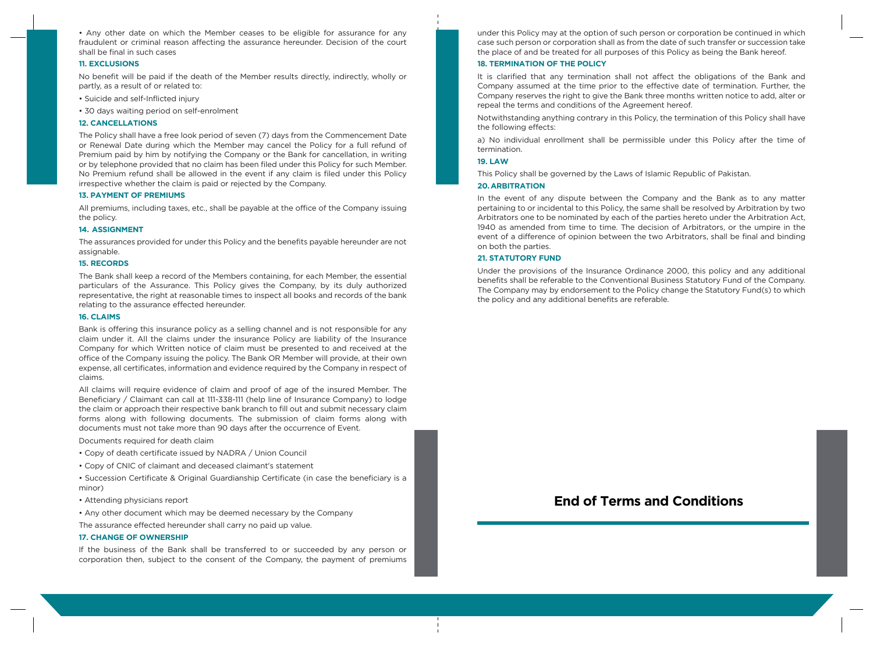• Any other date on which the Member ceases to be eligible for assurance for any fraudulent or criminal reason affecting the assurance hereunder. Decision of the court shall be final in such cases

#### **11. EXCLUSIONS**

No benefit will be paid if the death of the Member results directly, indirectly, wholly or partly, as a result of or related to:

- Suicide and self-Inflicted injury
- 30 days waiting period on self-enrolment

#### **12. CANCELLATIONS**

The Policy shall have a free look period of seven (7) days from the Commencement Date or Renewal Date during which the Member may cancel the Policy for a full refund of Premium paid by him by notifying the Company or the Bank for cancellation, in writing or by telephone provided that no claim has been filed under this Policy for such Member. No Premium refund shall be allowed in the event if any claim is filed under this Policy irrespective whether the claim is paid or rejected by the Company.

#### **13. PAYMENT OF PREMIUMS**

All premiums, including taxes, etc., shall be payable at the office of the Company issuing the policy.

#### **14. ASSIGNMENT**

The assurances provided for under this Policy and the benefits payable hereunder are not assignable.

#### **15. RECORDS**

The Bank shall keep a record of the Members containing, for each Member, the essential particulars of the Assurance. This Policy gives the Company, by its duly authorized representative, the right at reasonable times to inspect all books and records of the bank relating to the assurance effected hereunder.

#### **16. CLAIMS**

Bank is offering this insurance policy as a selling channel and is not responsible for any claim under it. All the claims under the insurance Policy are liability of the Insurance Company for which Written notice of claim must be presented to and received at the office of the Company issuing the policy. The Bank OR Member will provide, at their own expense, all certificates, information and evidence required by the Company in respect of claims.

All claims will require evidence of claim and proof of age of the insured Member. The Beneficiary / Claimant can call at 111-338-111 (help line of Insurance Company) to lodge the claim or approach their respective bank branch to fill out and submit necessary claim forms along with following documents. The submission of claim forms along with documents must not take more than 90 days after the occurrence of Event.

Documents required for death claim

- Copy of death certificate issued by NADRA / Union Council
- Copy of CNIC of claimant and deceased claimant's statement
- Succession Certificate & Original Guardianship Certificate (in case the beneficiary is a minor)
- Attending physicians report
- Any other document which may be deemed necessary by the Company
- The assurance effected hereunder shall carry no paid up value.

#### **17. CHANGE OF OWNERSHIP**

If the business of the Bank shall be transferred to or succeeded by any person or corporation then, subject to the consent of the Company, the payment of premiums under this Policy may at the option of such person or corporation be continued in which case such person or corporation shall as from the date of such transfer or succession take the place of and be treated for all purposes of this Policy as being the Bank hereof.

#### **18. TERMINATION OF THE POLICY**

It is clarified that any termination shall not affect the obligations of the Bank and Company assumed at the time prior to the effective date of termination. Further, the Company reserves the right to give the Bank three months written notice to add, alter or repeal the terms and conditions of the Agreement hereof.

Notwithstanding anything contrary in this Policy, the termination of this Policy shall have the following effects:

a) No individual enrollment shall be permissible under this Policy after the time of termination.

## **19. LAW**

This Policy shall be governed by the Laws of Islamic Republic of Pakistan.

#### **20. ARBITRATION**

In the event of any dispute between the Company and the Bank as to any matter pertaining to or incidental to this Policy, the same shall be resolved by Arbitration by two Arbitrators one to be nominated by each of the parties hereto under the Arbitration Act, 1940 as amended from time to time. The decision of Arbitrators, or the umpire in the event of a difference of opinion between the two Arbitrators, shall be final and binding on both the parties.

#### **21. STATUTORY FUND**

Under the provisions of the Insurance Ordinance 2000, this policy and any additional benefits shall be referable to the Conventional Business Statutory Fund of the Company. The Company may by endorsement to the Policy change the Statutory Fund(s) to which the policy and any additional benefits are referable.

## **End of Terms and Conditions**